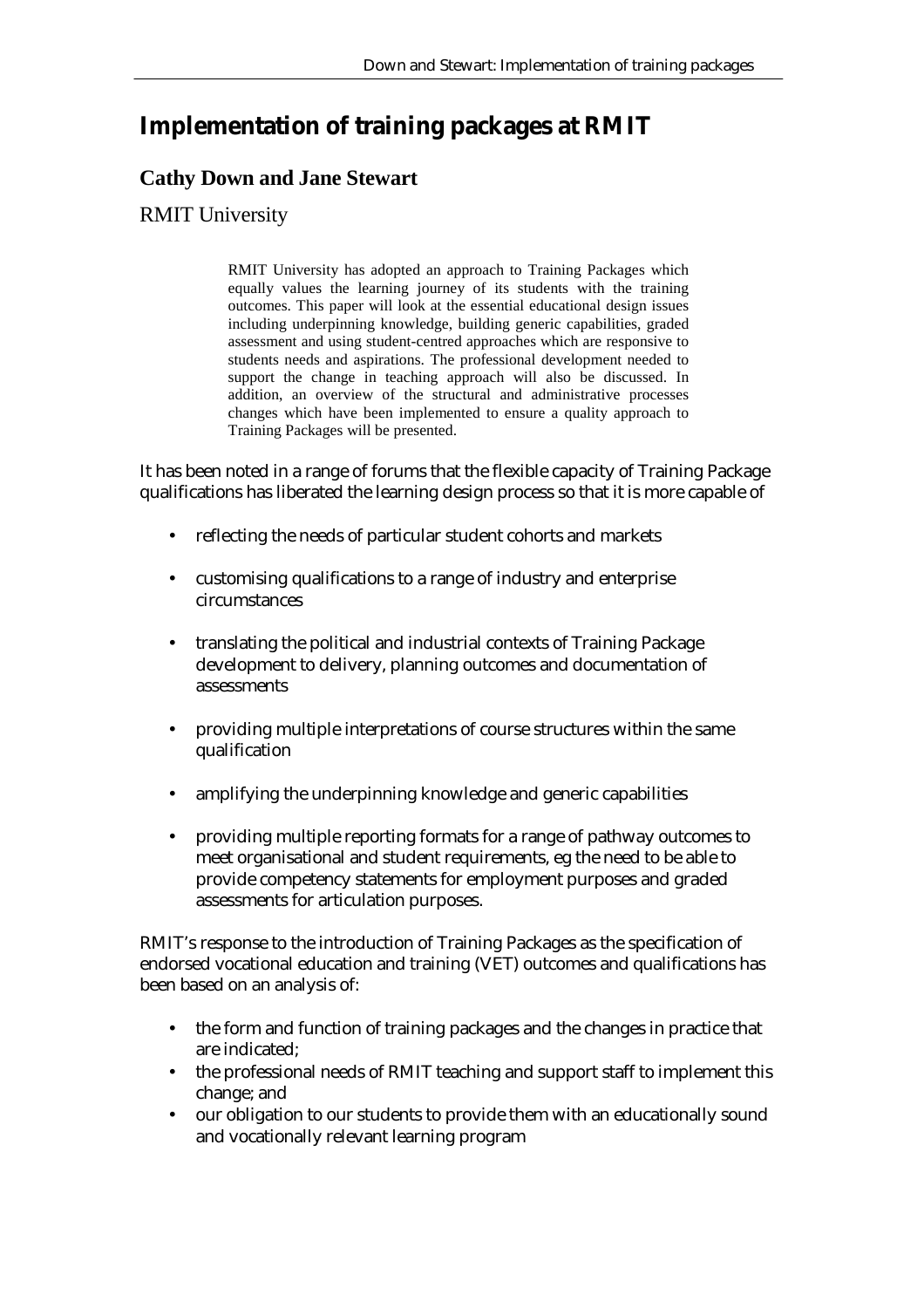# **Implementation of training packages at RMIT**

# **Cathy Down and Jane Stewart**

#### RMIT University

RMIT University has adopted an approach to Training Packages which equally values the learning journey of its students with the training outcomes. This paper will look at the essential educational design issues including underpinning knowledge, building generic capabilities, graded assessment and using student-centred approaches which are responsive to students needs and aspirations. The professional development needed to support the change in teaching approach will also be discussed. In addition, an overview of the structural and administrative processes changes which have been implemented to ensure a quality approach to Training Packages will be presented.

It has been noted in a range of forums that the flexible capacity of Training Package qualifications has liberated the learning design process so that it is more capable of

- reflecting the needs of particular student cohorts and markets
- customising qualifications to a range of industry and enterprise circumstances
- translating the political and industrial contexts of Training Package development to delivery, planning outcomes and documentation of assessments
- providing multiple interpretations of course structures within the same qualification
- amplifying the underpinning knowledge and generic capabilities
- providing multiple reporting formats for a range of pathway outcomes to meet organisational and student requirements, eg the need to be able to provide competency statements for employment purposes and graded assessments for articulation purposes.

RMIT's response to the introduction of Training Packages as the specification of endorsed vocational education and training (VET) outcomes and qualifications has been based on an analysis of:

- the form and function of training packages and the changes in practice that are indicated;
- the professional needs of RMIT teaching and support staff to implement this change; and
- our obligation to our students to provide them with an educationally sound and vocationally relevant learning program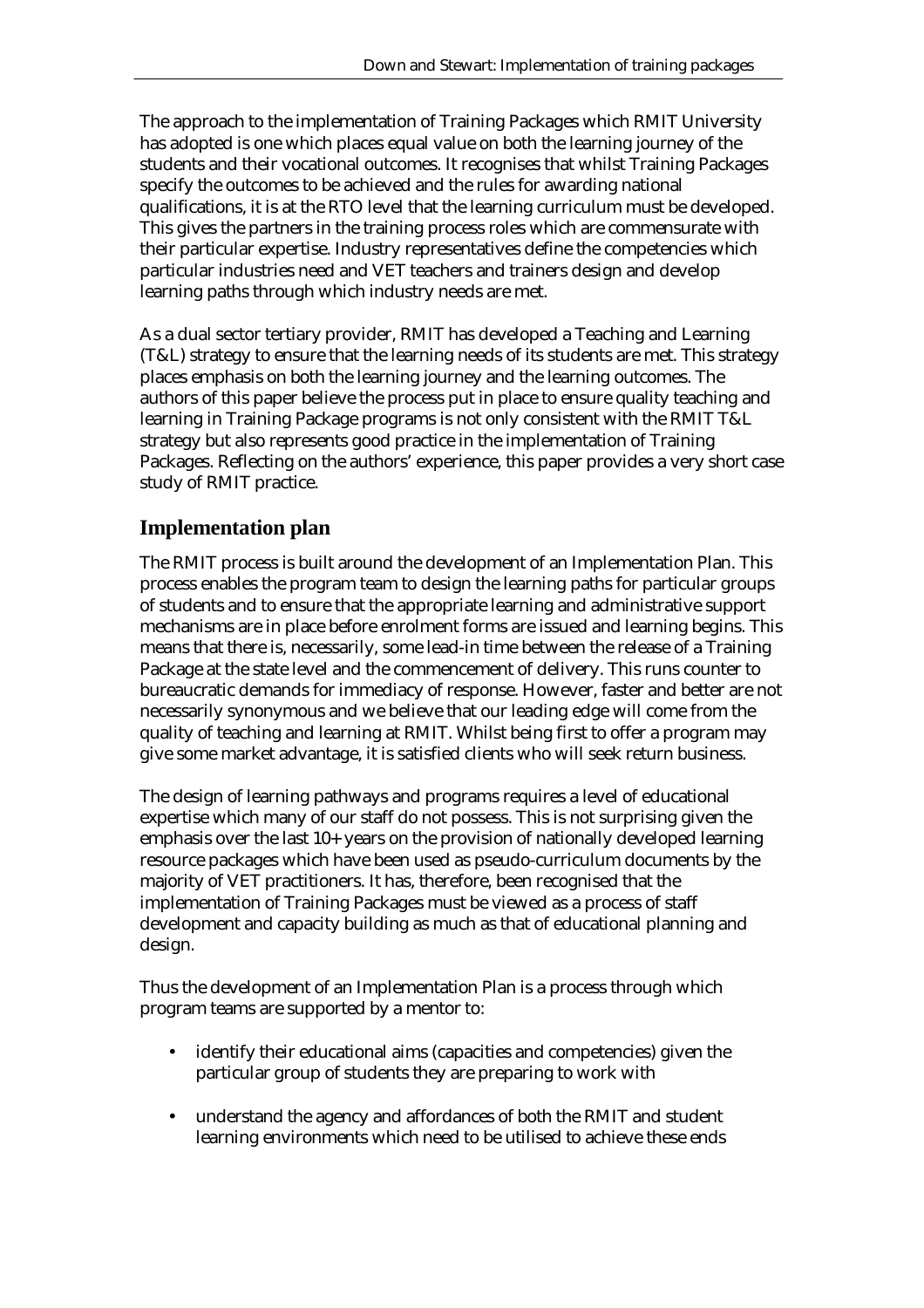The approach to the implementation of Training Packages which RMIT University has adopted is one which places equal value on both the learning journey of the students and their vocational outcomes. It recognises that whilst Training Packages specify the outcomes to be achieved and the rules for awarding national qualifications, it is at the RTO level that the learning curriculum must be developed. This gives the partners in the training process roles which are commensurate with their particular expertise. Industry representatives define the competencies which particular industries need and VET teachers and trainers design and develop learning paths through which industry needs are met.

As a dual sector tertiary provider, RMIT has developed a Teaching and Learning (T&L) strategy to ensure that the learning needs of its students are met. This strategy places emphasis on both the learning journey and the learning outcomes. The authors of this paper believe the process put in place to ensure quality teaching and learning in Training Package programs is not only consistent with the RMIT T&L strategy but also represents good practice in the implementation of Training Packages. Reflecting on the authors' experience, this paper provides a very short case study of RMIT practice.

## **Implementation plan**

The RMIT process is built around the development of an Implementation Plan. This process enables the program team to design the learning paths for particular groups of students and to ensure that the appropriate learning and administrative support mechanisms are in place before enrolment forms are issued and learning begins. This means that there is, necessarily, some lead-in time between the release of a Training Package at the state level and the commencement of delivery. This runs counter to bureaucratic demands for immediacy of response. However, faster and better are not necessarily synonymous and we believe that our leading edge will come from the quality of teaching and learning at RMIT. Whilst being first to offer a program may give some market advantage, it is satisfied clients who will seek return business.

The design of learning pathways and programs requires a level of educational expertise which many of our staff do not possess. This is not surprising given the emphasis over the last 10+ years on the provision of nationally developed learning resource packages which have been used as pseudo-curriculum documents by the majority of VET practitioners. It has, therefore, been recognised that the implementation of Training Packages must be viewed as a process of staff development and capacity building as much as that of educational planning and design.

Thus the development of an Implementation Plan is a process through which program teams are supported by a mentor to:

- identify their educational aims (capacities and competencies) given the particular group of students they are preparing to work with
- understand the agency and affordances of both the RMIT and student learning environments which need to be utilised to achieve these ends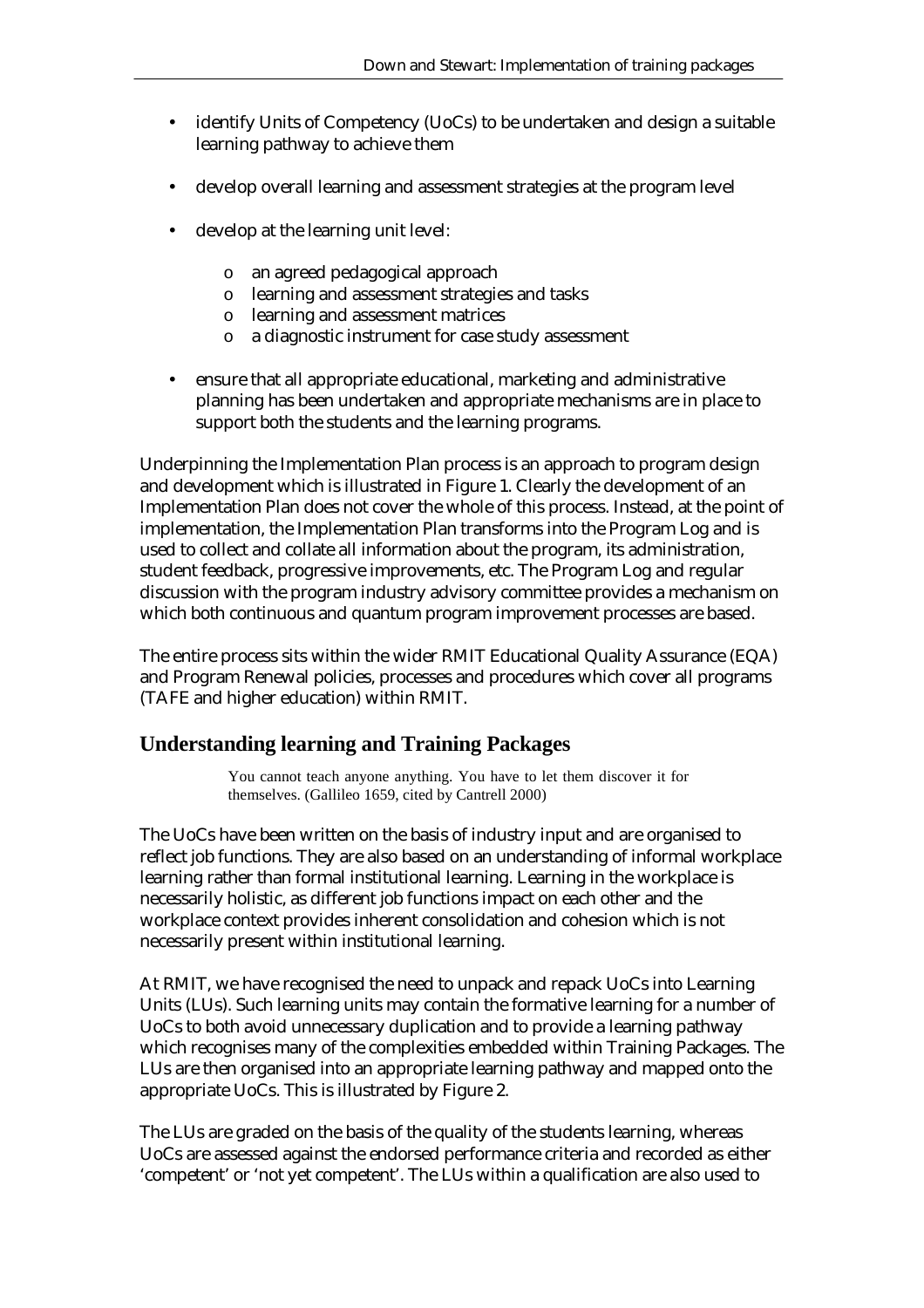- identify Units of Competency (UoCs) to be undertaken and design a suitable learning pathway to achieve them
- develop overall learning and assessment strategies at the program level
- develop at the learning unit level:
	- o an agreed pedagogical approach
	- o learning and assessment strategies and tasks
	- o learning and assessment matrices
	- o a diagnostic instrument for case study assessment
- ensure that all appropriate educational, marketing and administrative planning has been undertaken and appropriate mechanisms are in place to support both the students and the learning programs.

Underpinning the Implementation Plan process is an approach to program design and development which is illustrated in Figure 1. Clearly the development of an Implementation Plan does not cover the whole of this process. Instead, at the point of implementation, the Implementation Plan transforms into the Program Log and is used to collect and collate all information about the program, its administration, student feedback, progressive improvements, etc. The Program Log and regular discussion with the program industry advisory committee provides a mechanism on which both continuous and quantum program improvement processes are based.

The entire process sits within the wider RMIT Educational Quality Assurance (EQA) and Program Renewal policies, processes and procedures which cover all programs (TAFE and higher education) within RMIT.

## **Understanding learning and Training Packages**

You cannot teach anyone anything. You have to let them discover it for themselves. (Gallileo 1659, cited by Cantrell 2000)

The UoCs have been written on the basis of industry input and are organised to reflect job functions. They are also based on an understanding of informal workplace learning rather than formal institutional learning. Learning in the workplace is necessarily holistic, as different job functions impact on each other and the workplace context provides inherent consolidation and cohesion which is not necessarily present within institutional learning.

At RMIT, we have recognised the need to unpack and repack UoCs into Learning Units (LUs). Such learning units may contain the formative learning for a number of UoCs to both avoid unnecessary duplication and to provide a learning pathway which recognises many of the complexities embedded within Training Packages. The LUs are then organised into an appropriate learning pathway and mapped onto the appropriate UoCs. This is illustrated by Figure 2.

The LUs are graded on the basis of the quality of the students learning, whereas UoCs are assessed against the endorsed performance criteria and recorded as either 'competent' or 'not yet competent'. The LUs within a qualification are also used to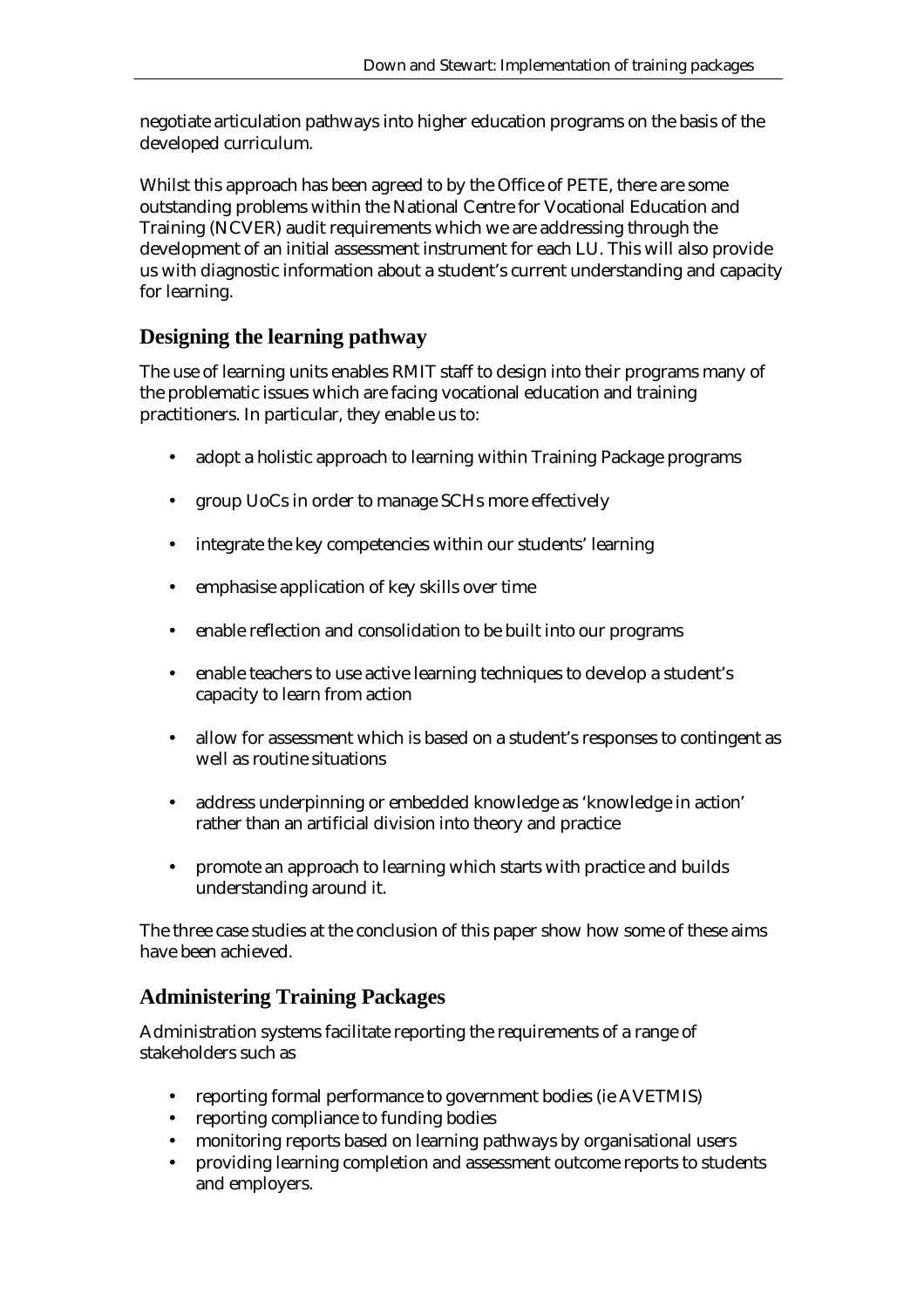negotiate articulation pathways into higher education programs on the basis of the developed curriculum.

Whilst this approach has been agreed to by the Office of PETE, there are some outstanding problems within the National Centre for Vocational Education and Training (NCVER) audit requirements which we are addressing through the development of an initial assessment instrument for each LU. This will also provide us with diagnostic information about a student's current understanding and capacity for learning.

## **Designing the learning pathway**

The use of learning units enables RMIT staff to design into their programs many of the problematic issues which are facing vocational education and training practitioners. In particular, they enable us to:

- adopt a holistic approach to learning within Training Package programs
- group UoCs in order to manage SCHs more effectively
- integrate the key competencies within our students' learning
- emphasise application of key skills over time
- enable reflection and consolidation to be built into our programs
- enable teachers to use active learning techniques to develop a student's capacity to learn from action
- allow for assessment which is based on a student's responses to contingent as well as routine situations
- address underpinning or embedded knowledge as 'knowledge in action' rather than an artificial division into theory and practice
- promote an approach to learning which starts with practice and builds understanding around it.

The three case studies at the conclusion of this paper show how some of these aims have been achieved.

## **Administering Training Packages**

Administration systems facilitate reporting the requirements of a range of stakeholders such as

- reporting formal performance to government bodies (ie AVETMIS)
- reporting compliance to funding bodies
- monitoring reports based on learning pathways by organisational users
- providing learning completion and assessment outcome reports to students and employers.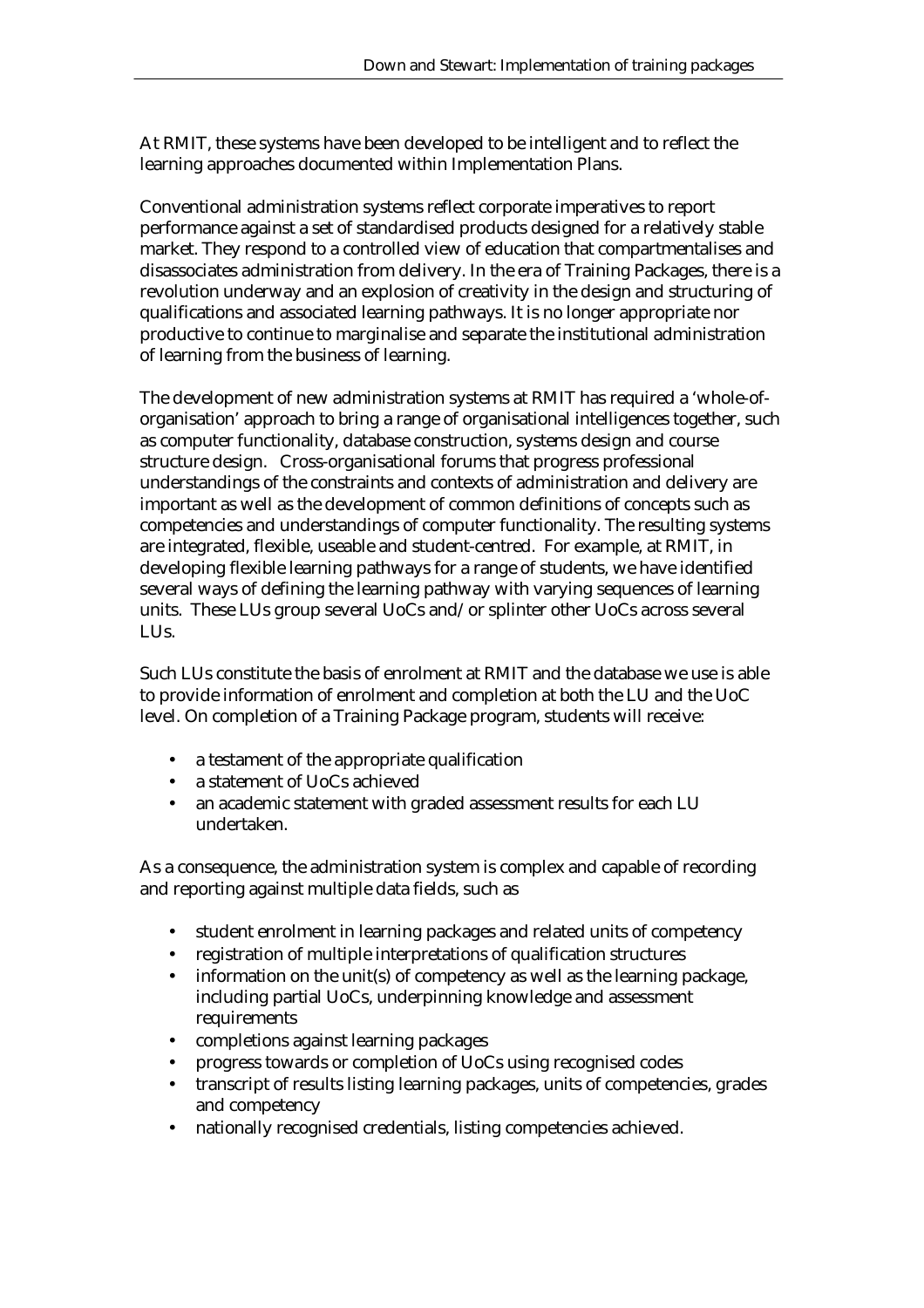At RMIT, these systems have been developed to be intelligent and to reflect the learning approaches documented within Implementation Plans.

Conventional administration systems reflect corporate imperatives to report performance against a set of standardised products designed for a relatively stable market. They respond to a controlled view of education that compartmentalises and disassociates administration from delivery. In the era of Training Packages, there is a revolution underway and an explosion of creativity in the design and structuring of qualifications and associated learning pathways. It is no longer appropriate nor productive to continue to marginalise and separate the institutional administration of learning from the business of learning.

The development of new administration systems at RMIT has required a 'whole-oforganisation' approach to bring a range of organisational intelligences together, such as computer functionality, database construction, systems design and course structure design. Cross-organisational forums that progress professional understandings of the constraints and contexts of administration and delivery are important as well as the development of common definitions of concepts such as competencies and understandings of computer functionality. The resulting systems are integrated, flexible, useable and student-centred. For example, at RMIT, in developing flexible learning pathways for a range of students, we have identified several ways of defining the learning pathway with varying sequences of learning units. These LUs group several UoCs and/or splinter other UoCs across several LUs.

Such LUs constitute the basis of enrolment at RMIT and the database we use is able to provide information of enrolment and completion at both the LU and the UoC level. On completion of a Training Package program, students will receive:

- a testament of the appropriate qualification
- a statement of UoCs achieved
- an academic statement with graded assessment results for each LU undertaken.

As a consequence, the administration system is complex and capable of recording and reporting against multiple data fields, such as

- student enrolment in learning packages and related units of competency
- registration of multiple interpretations of qualification structures
- information on the unit(s) of competency as well as the learning package, including partial UoCs, underpinning knowledge and assessment requirements
- completions against learning packages
- progress towards or completion of UoCs using recognised codes
- transcript of results listing learning packages, units of competencies, grades and competency
- nationally recognised credentials, listing competencies achieved.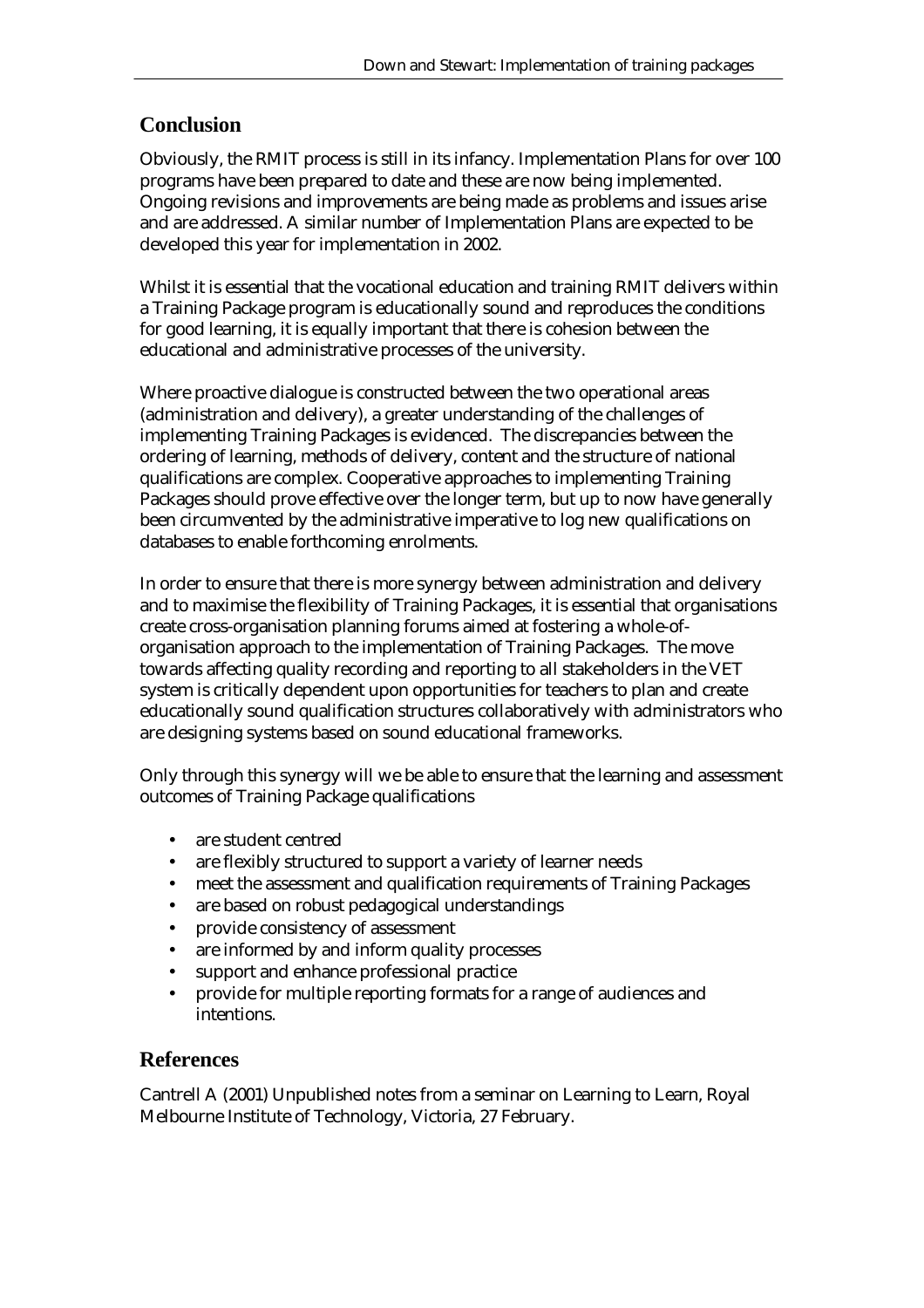#### **Conclusion**

Obviously, the RMIT process is still in its infancy. Implementation Plans for over 100 programs have been prepared to date and these are now being implemented. Ongoing revisions and improvements are being made as problems and issues arise and are addressed. A similar number of Implementation Plans are expected to be developed this year for implementation in 2002.

Whilst it is essential that the vocational education and training RMIT delivers within a Training Package program is educationally sound and reproduces the conditions for good learning, it is equally important that there is cohesion between the educational and administrative processes of the university.

Where proactive dialogue is constructed between the two operational areas (administration and delivery), a greater understanding of the challenges of implementing Training Packages is evidenced. The discrepancies between the ordering of learning, methods of delivery, content and the structure of national qualifications are complex. Cooperative approaches to implementing Training Packages should prove effective over the longer term, but up to now have generally been circumvented by the administrative imperative to log new qualifications on databases to enable forthcoming enrolments.

In order to ensure that there is more synergy between administration and delivery and to maximise the flexibility of Training Packages, it is essential that organisations create cross-organisation planning forums aimed at fostering a whole-oforganisation approach to the implementation of Training Packages. The move towards affecting quality recording and reporting to all stakeholders in the VET system is critically dependent upon opportunities for teachers to plan and create educationally sound qualification structures collaboratively with administrators who are designing systems based on sound educational frameworks.

Only through this synergy will we be able to ensure that the learning and assessment outcomes of Training Package qualifications

- are student centred
- are flexibly structured to support a variety of learner needs
- meet the assessment and qualification requirements of Training Packages
- are based on robust pedagogical understandings
- provide consistency of assessment
- are informed by and inform quality processes
- support and enhance professional practice
- provide for multiple reporting formats for a range of audiences and intentions.

#### **References**

Cantrell A (2001) Unpublished notes from a seminar on Learning to Learn, Royal Melbourne Institute of Technology, Victoria, 27 February.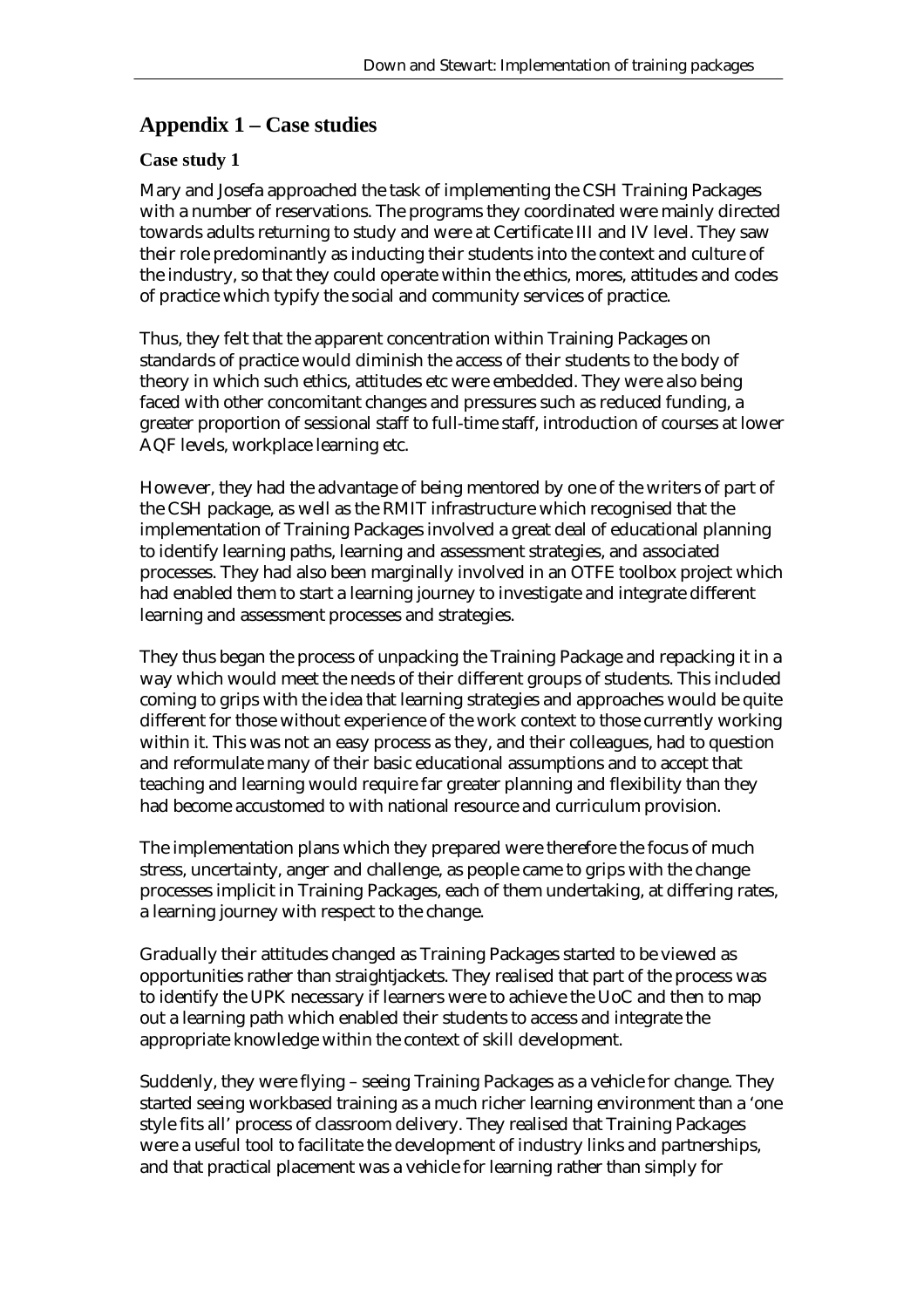## **Appendix 1 – Case studies**

#### **Case study 1**

Mary and Josefa approached the task of implementing the CSH Training Packages with a number of reservations. The programs they coordinated were mainly directed towards adults returning to study and were at Certificate III and IV level. They saw their role predominantly as inducting their students into the context and culture of the industry, so that they could operate within the ethics, mores, attitudes and codes of practice which typify the social and community services of practice.

Thus, they felt that the apparent concentration within Training Packages on standards of practice would diminish the access of their students to the body of theory in which such ethics, attitudes etc were embedded. They were also being faced with other concomitant changes and pressures such as reduced funding, a greater proportion of sessional staff to full-time staff, introduction of courses at lower AQF levels, workplace learning etc.

However, they had the advantage of being mentored by one of the writers of part of the CSH package, as well as the RMIT infrastructure which recognised that the implementation of Training Packages involved a great deal of educational planning to identify learning paths, learning and assessment strategies, and associated processes. They had also been marginally involved in an OTFE toolbox project which had enabled them to start a learning journey to investigate and integrate different learning and assessment processes and strategies.

They thus began the process of unpacking the Training Package and repacking it in a way which would meet the needs of their different groups of students. This included coming to grips with the idea that learning strategies and approaches would be quite different for those without experience of the work context to those currently working within it. This was not an easy process as they, and their colleagues, had to question and reformulate many of their basic educational assumptions and to accept that teaching and learning would require far greater planning and flexibility than they had become accustomed to with national resource and curriculum provision.

The implementation plans which they prepared were therefore the focus of much stress, uncertainty, anger and challenge, as people came to grips with the change processes implicit in Training Packages, each of them undertaking, at differing rates, a learning journey with respect to the change.

Gradually their attitudes changed as Training Packages started to be viewed as opportunities rather than straightjackets. They realised that part of the process was to identify the UPK necessary if learners were to achieve the UoC and then to map out a learning path which enabled their students to access and integrate the appropriate knowledge within the context of skill development.

Suddenly, they were flying – seeing Training Packages as a vehicle for change. They started seeing workbased training as a much richer learning environment than a 'one style fits all' process of classroom delivery. They realised that Training Packages were a useful tool to facilitate the development of industry links and partnerships, and that practical placement was a vehicle for learning rather than simply for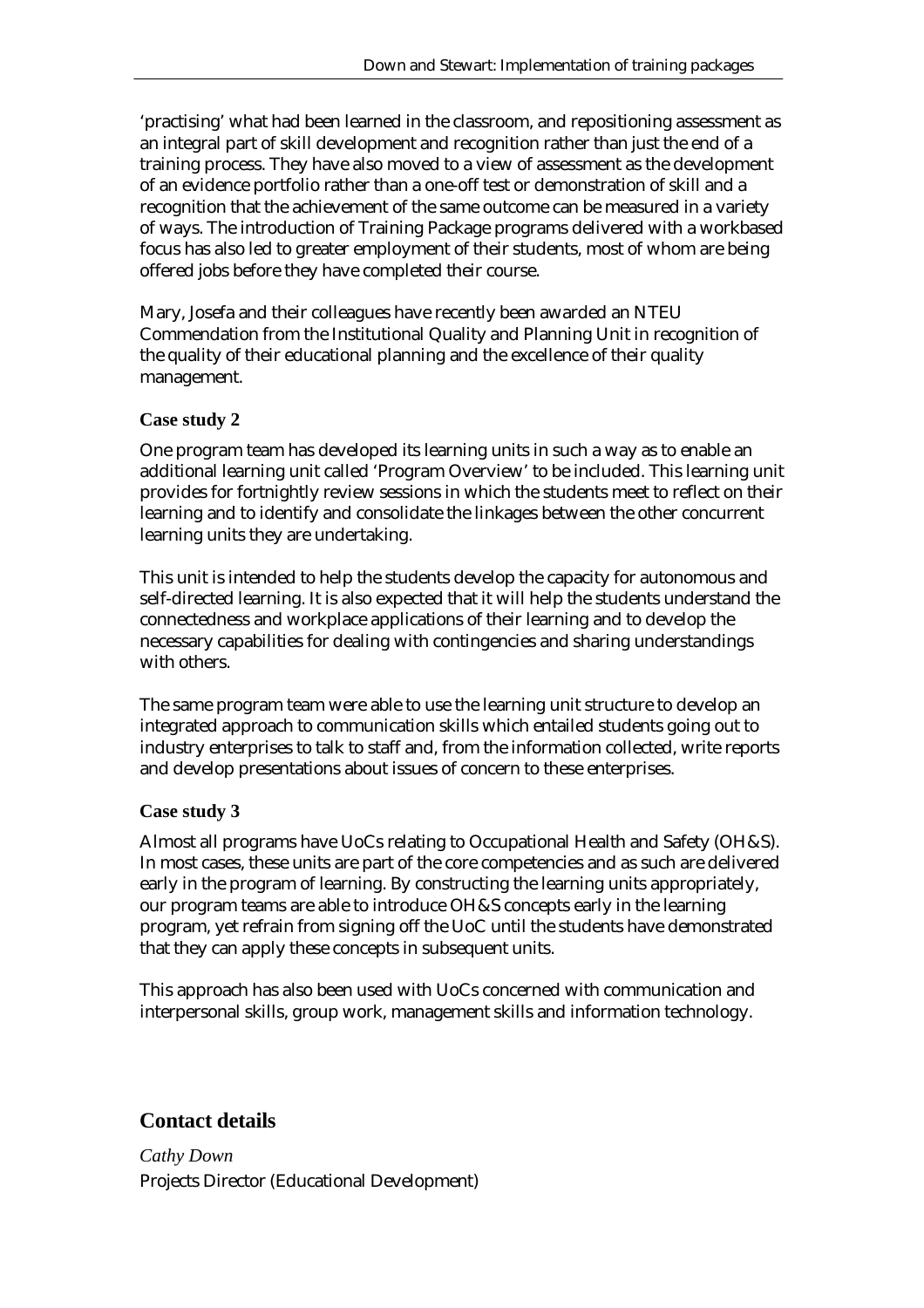'practising' what had been learned in the classroom, and repositioning assessment as an integral part of skill development and recognition rather than just the end of a training process. They have also moved to a view of assessment as the development of an evidence portfolio rather than a one-off test or demonstration of skill and a recognition that the achievement of the same outcome can be measured in a variety of ways. The introduction of Training Package programs delivered with a workbased focus has also led to greater employment of their students, most of whom are being offered jobs before they have completed their course.

Mary, Josefa and their colleagues have recently been awarded an NTEU Commendation from the Institutional Quality and Planning Unit in recognition of the quality of their educational planning and the excellence of their quality management.

#### **Case study 2**

One program team has developed its learning units in such a way as to enable an additional learning unit called 'Program Overview' to be included. This learning unit provides for fortnightly review sessions in which the students meet to reflect on their learning and to identify and consolidate the linkages between the other concurrent learning units they are undertaking.

This unit is intended to help the students develop the capacity for autonomous and self-directed learning. It is also expected that it will help the students understand the connectedness and workplace applications of their learning and to develop the necessary capabilities for dealing with contingencies and sharing understandings with others.

The same program team were able to use the learning unit structure to develop an integrated approach to communication skills which entailed students going out to industry enterprises to talk to staff and, from the information collected, write reports and develop presentations about issues of concern to these enterprises.

#### **Case study 3**

Almost all programs have UoCs relating to Occupational Health and Safety (OH&S). In most cases, these units are part of the core competencies and as such are delivered early in the program of learning. By constructing the learning units appropriately, our program teams are able to introduce OH&S concepts early in the learning program, yet refrain from signing off the UoC until the students have demonstrated that they can apply these concepts in subsequent units.

This approach has also been used with UoCs concerned with communication and interpersonal skills, group work, management skills and information technology.

## **Contact details**

*Cathy Down*  Projects Director (Educational Development)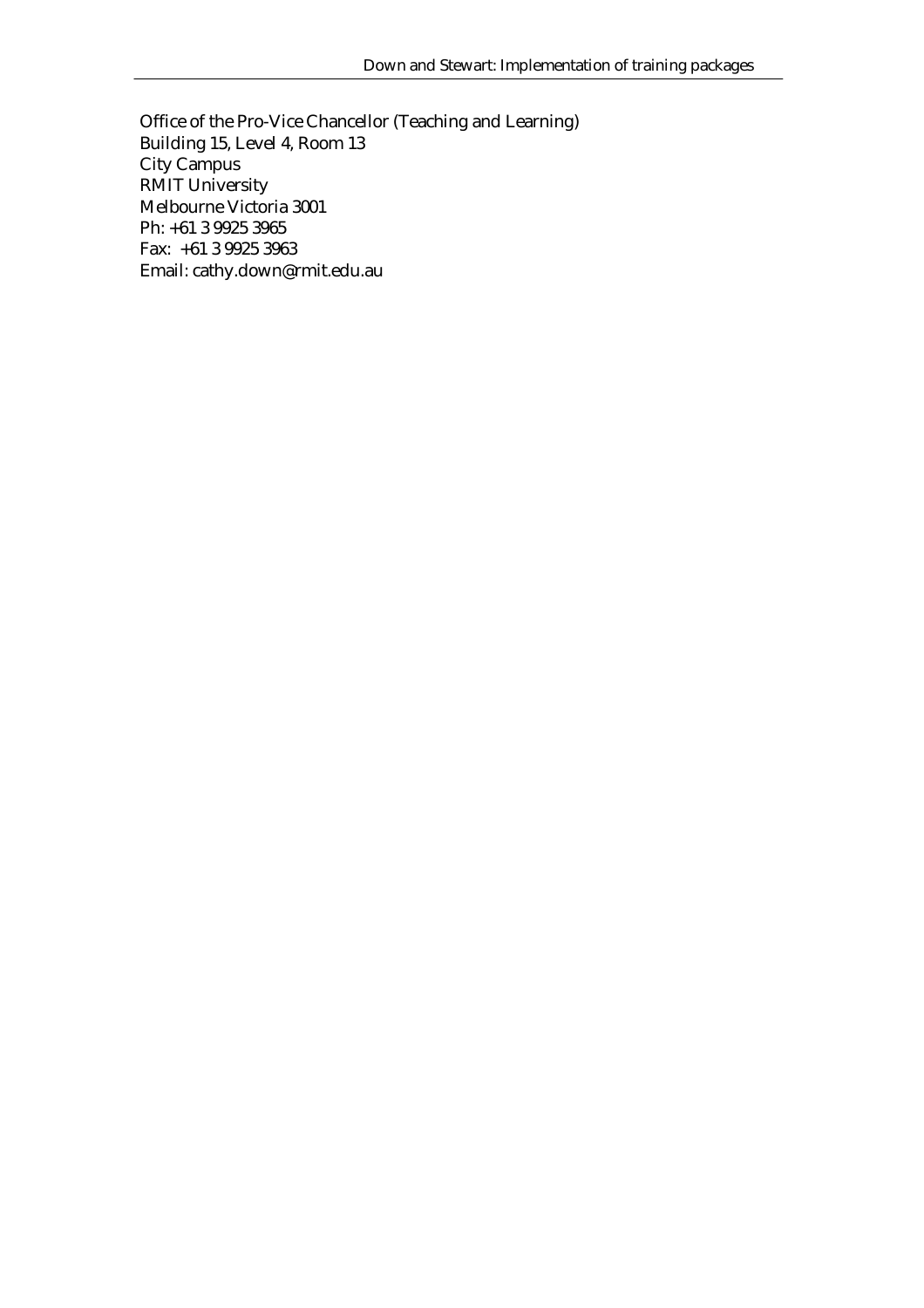Office of the Pro-Vice Chancellor (Teaching and Learning) Building 15, Level 4, Room 13 City Campus RMIT University Melbourne Victoria 3001 Ph: +61 3 9925 3965 Fax: +61 3 9925 3963 Email: cathy.down@rmit.edu.au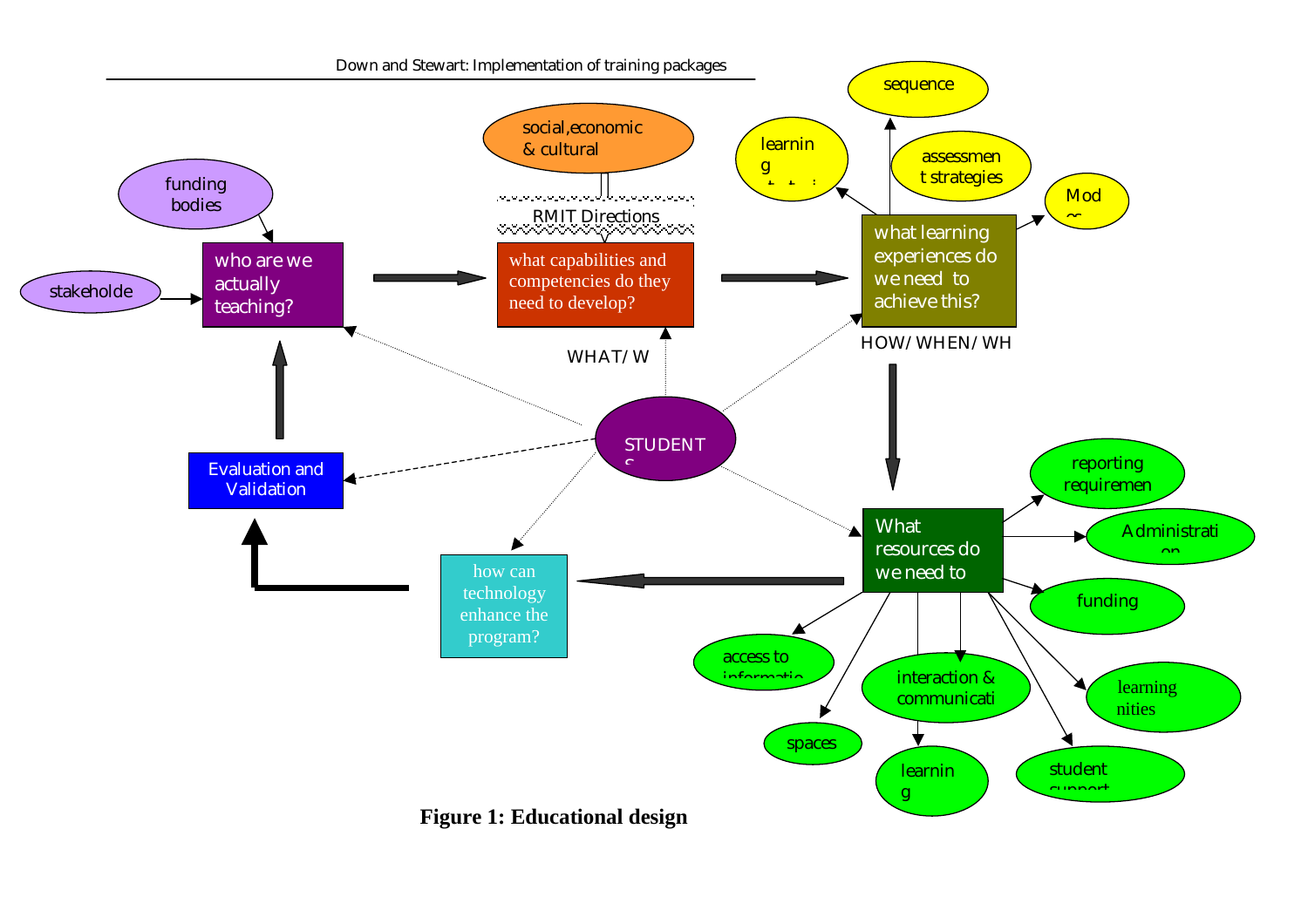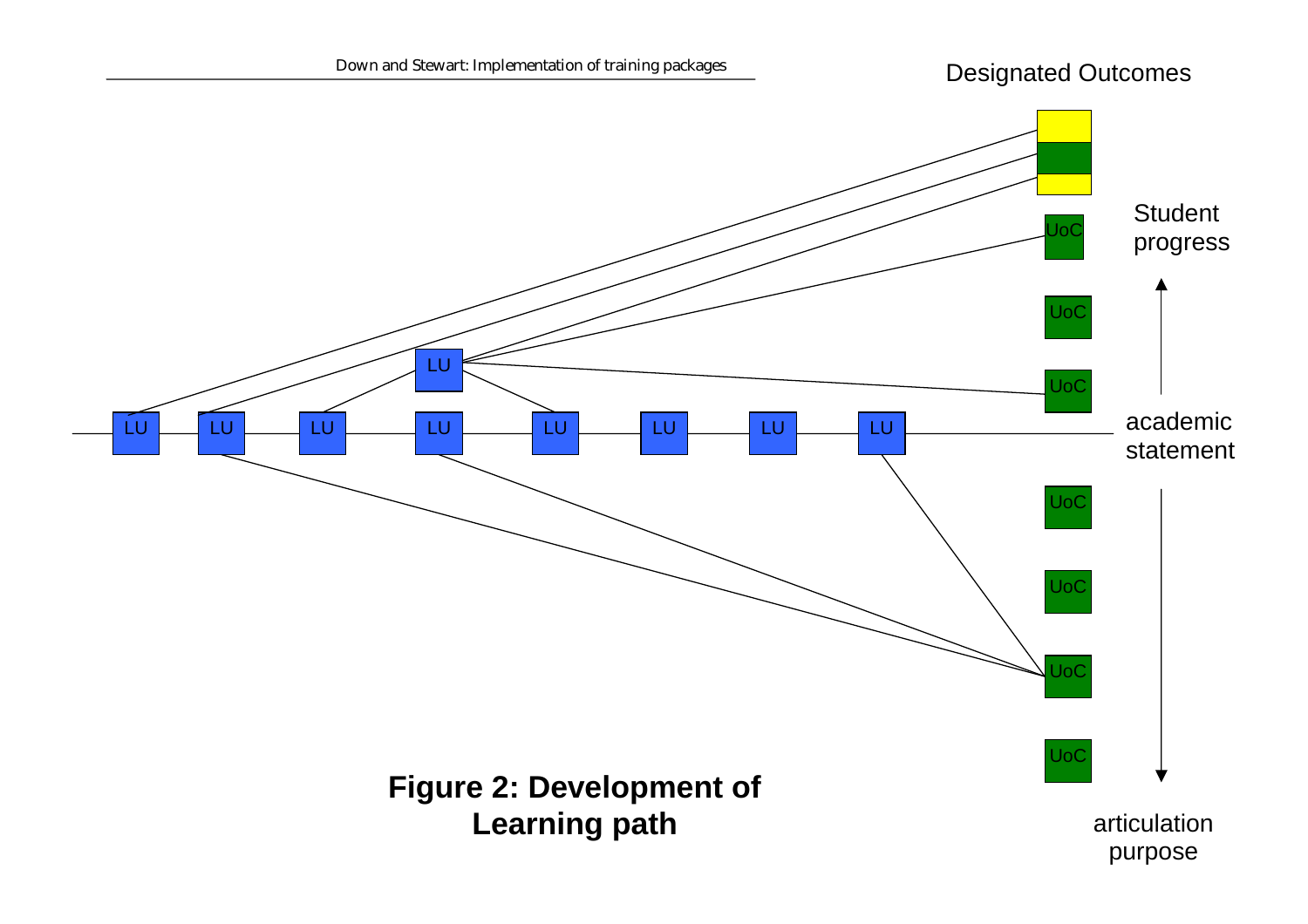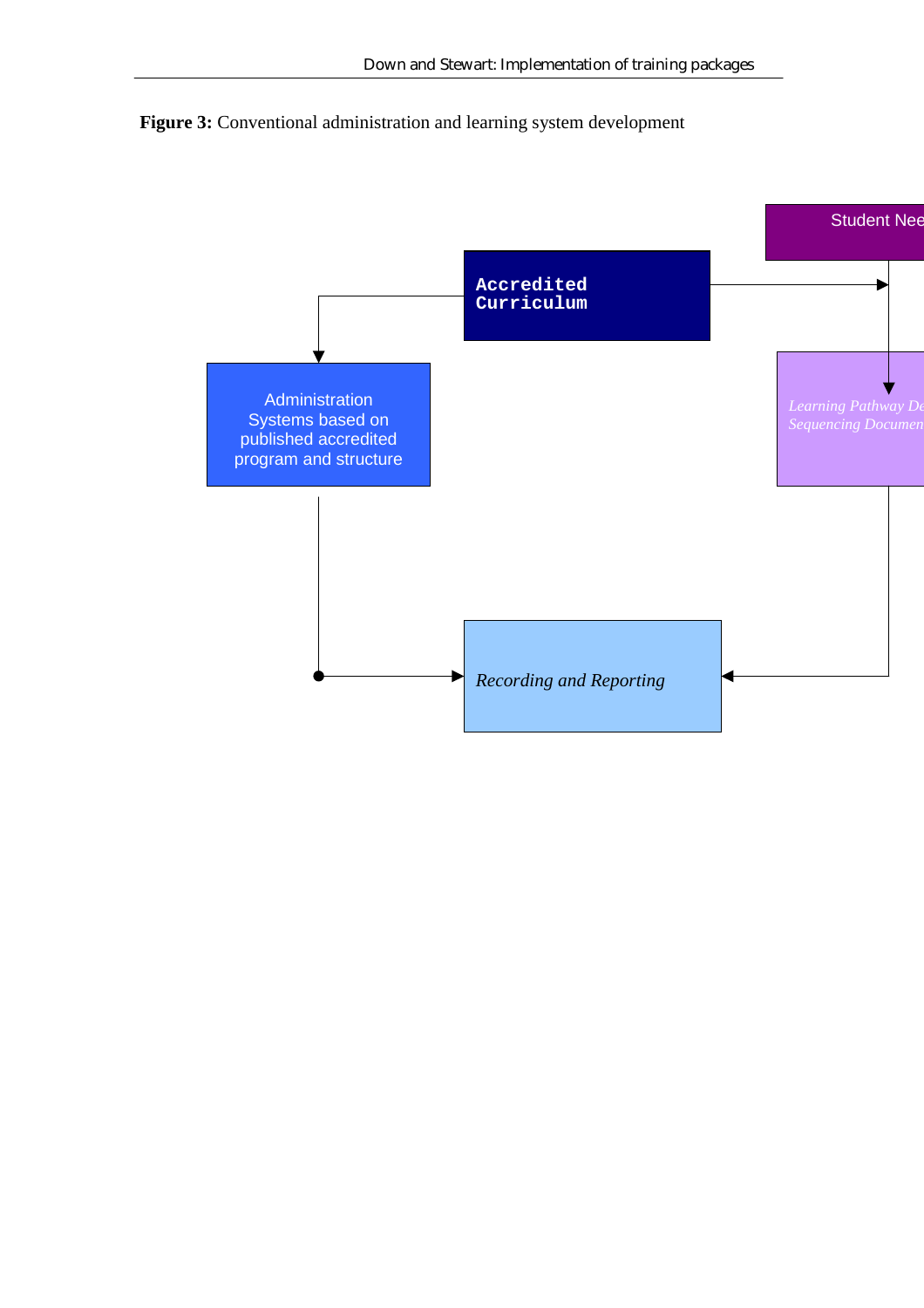